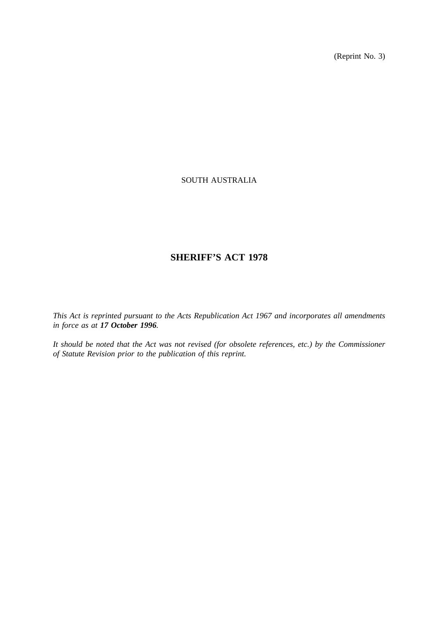(Reprint No. 3)

# SOUTH AUSTRALIA

# **SHERIFF'S ACT 1978**

*This Act is reprinted pursuant to the Acts Republication Act 1967 and incorporates all amendments in force as at 17 October 1996.*

*It should be noted that the Act was not revised (for obsolete references, etc.) by the Commissioner of Statute Revision prior to the publication of this reprint.*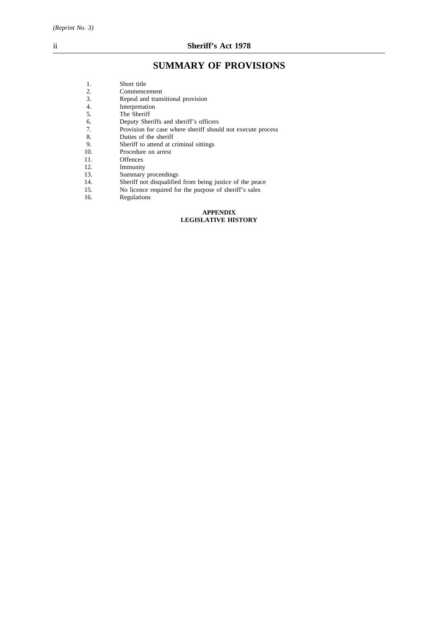# **SUMMARY OF PROVISIONS**

| 1.  | Short title                                                 |  |
|-----|-------------------------------------------------------------|--|
| 2.  | Commencement                                                |  |
| 3.  | Repeal and transitional provision                           |  |
| 4.  | Interpretation                                              |  |
| 5.  | The Sheriff                                                 |  |
| 6.  | Deputy Sheriffs and sheriff's officers                      |  |
| 7.  | Provision for case where sheriff should not execute process |  |
| 8.  | Duties of the sheriff                                       |  |
| 9.  | Sheriff to attend at criminal sittings                      |  |
| 10. | Procedure on arrest                                         |  |
| 11. | <b>Offences</b>                                             |  |
| 12. | Immunity                                                    |  |
| 13. | Summary proceedings                                         |  |
| 14. | Sheriff not disqualified from being justice of the peace    |  |
| 15. | No licence required for the purpose of sheriff's sales      |  |
| 16. | Regulations                                                 |  |
|     |                                                             |  |

#### **APPENDIX LEGISLATIVE HISTORY**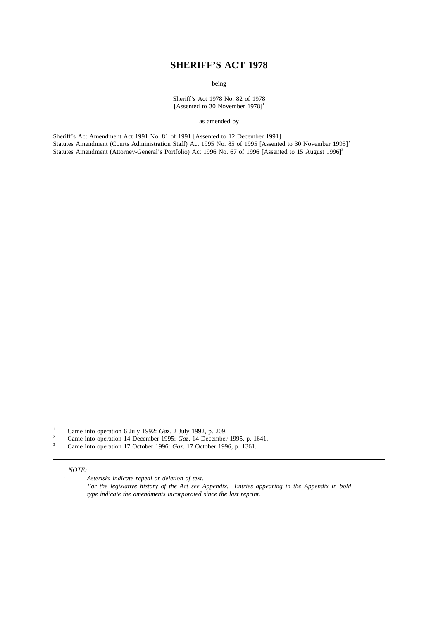# **SHERIFF'S ACT 1978**

being

Sheriff's Act 1978 No. 82 of 1978 [Assented to 30 November  $1978$ ]<sup>1</sup>

as amended by

Sheriff's Act Amendment Act 1991 No. 81 of 1991 [Assented to 12 December 1991]<sup>1</sup> Statutes Amendment (Courts Administration Staff) Act 1995 No. 85 of 1995 [Assented to 30 November 1995]<sup>2</sup> Statutes Amendment (Attorney-General's Portfolio) Act 1996 No. 67 of 1996 [Assented to 15 August 1996]<sup>3</sup>

<sup>1</sup> Came into operation 6 July 1992: *Gaz*. 2 July 1992, p. 209.

- <sup>2</sup> Came into operation 14 December 1995: *Gaz*. 14 December 1995, p. 1641.
- <sup>3</sup> Came into operation 17 October 1996: *Gaz*. 17 October 1996, p. 1361.

#### *NOTE:*

- *Asterisks indicate repeal or deletion of text.*
- *For the legislative history of the Act see Appendix. Entries appearing in the Appendix in bold type indicate the amendments incorporated since the last reprint.*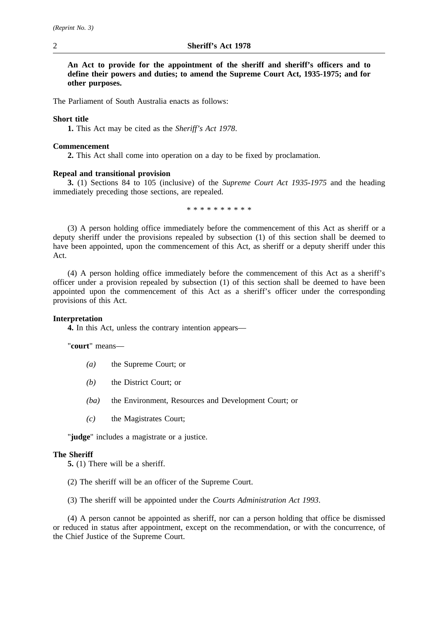**An Act to provide for the appointment of the sheriff and sheriff's officers and to define their powers and duties; to amend the Supreme Court Act, 1935-1975; and for other purposes.**

The Parliament of South Australia enacts as follows:

# **Short title**

**1.** This Act may be cited as the *Sheriff's Act 1978*.

# **Commencement**

**2.** This Act shall come into operation on a day to be fixed by proclamation.

# **Repeal and transitional provision**

**3.** (1) Sections 84 to 105 (inclusive) of the *Supreme Court Act 1935-1975* and the heading immediately preceding those sections, are repealed.

\*\*\*\*\*\*\*\*\*\*

(3) A person holding office immediately before the commencement of this Act as sheriff or a deputy sheriff under the provisions repealed by subsection (1) of this section shall be deemed to have been appointed, upon the commencement of this Act, as sheriff or a deputy sheriff under this Act.

(4) A person holding office immediately before the commencement of this Act as a sheriff's officer under a provision repealed by subsection (1) of this section shall be deemed to have been appointed upon the commencement of this Act as a sheriff's officer under the corresponding provisions of this Act.

### **Interpretation**

**4.** In this Act, unless the contrary intention appears—

"**court**" means—

- *(a)* the Supreme Court; or
- *(b)* the District Court; or
- *(ba)* the Environment, Resources and Development Court; or
- *(c)* the Magistrates Court;

"**judge**" includes a magistrate or a justice.

# **The Sheriff**

**5.** (1) There will be a sheriff.

- (2) The sheriff will be an officer of the Supreme Court.
- (3) The sheriff will be appointed under the *Courts Administration Act 1993*.

(4) A person cannot be appointed as sheriff, nor can a person holding that office be dismissed or reduced in status after appointment, except on the recommendation, or with the concurrence, of the Chief Justice of the Supreme Court.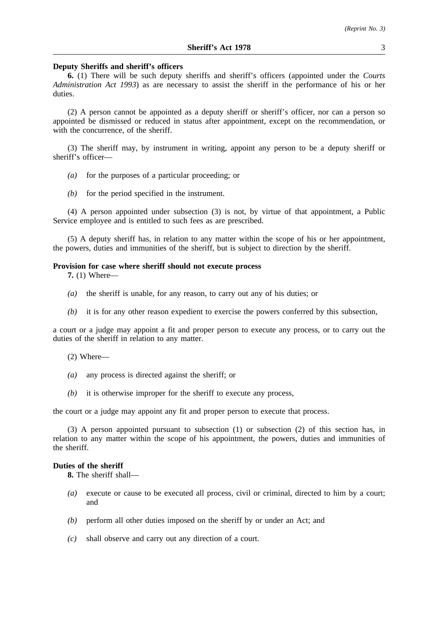#### **Deputy Sheriffs and sheriff's officers**

**6.** (1) There will be such deputy sheriffs and sheriff's officers (appointed under the *Courts Administration Act 1993*) as are necessary to assist the sheriff in the performance of his or her duties.

(2) A person cannot be appointed as a deputy sheriff or sheriff's officer, nor can a person so appointed be dismissed or reduced in status after appointment, except on the recommendation, or with the concurrence, of the sheriff.

(3) The sheriff may, by instrument in writing, appoint any person to be a deputy sheriff or sheriff's officer—

- *(a)* for the purposes of a particular proceeding; or
- *(b)* for the period specified in the instrument.

(4) A person appointed under subsection (3) is not, by virtue of that appointment, a Public Service employee and is entitled to such fees as are prescribed.

(5) A deputy sheriff has, in relation to any matter within the scope of his or her appointment, the powers, duties and immunities of the sheriff, but is subject to direction by the sheriff.

#### **Provision for case where sheriff should not execute process**

**7.** (1) Where—

- *(a)* the sheriff is unable, for any reason, to carry out any of his duties; or
- *(b)* it is for any other reason expedient to exercise the powers conferred by this subsection,

a court or a judge may appoint a fit and proper person to execute any process, or to carry out the duties of the sheriff in relation to any matter.

- (2) Where—
- *(a)* any process is directed against the sheriff; or
- *(b)* it is otherwise improper for the sheriff to execute any process,

the court or a judge may appoint any fit and proper person to execute that process.

(3) A person appointed pursuant to subsection (1) or subsection (2) of this section has, in relation to any matter within the scope of his appointment, the powers, duties and immunities of the sheriff.

# **Duties of the sheriff**

**8.** The sheriff shall—

- *(a)* execute or cause to be executed all process, civil or criminal, directed to him by a court; and
- *(b)* perform all other duties imposed on the sheriff by or under an Act; and
- *(c)* shall observe and carry out any direction of a court.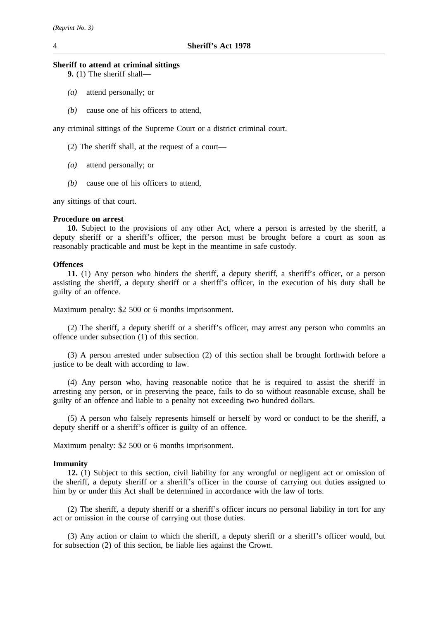# **Sheriff to attend at criminal sittings**

**9.** (1) The sheriff shall—

- *(a)* attend personally; or
- *(b)* cause one of his officers to attend,

any criminal sittings of the Supreme Court or a district criminal court.

- (2) The sheriff shall, at the request of a court—
- *(a)* attend personally; or
- *(b)* cause one of his officers to attend,

any sittings of that court.

#### **Procedure on arrest**

**10.** Subject to the provisions of any other Act, where a person is arrested by the sheriff, a deputy sheriff or a sheriff's officer, the person must be brought before a court as soon as reasonably practicable and must be kept in the meantime in safe custody.

### **Offences**

**11.** (1) Any person who hinders the sheriff, a deputy sheriff, a sheriff's officer, or a person assisting the sheriff, a deputy sheriff or a sheriff's officer, in the execution of his duty shall be guilty of an offence.

Maximum penalty: \$2 500 or 6 months imprisonment.

(2) The sheriff, a deputy sheriff or a sheriff's officer, may arrest any person who commits an offence under subsection (1) of this section.

(3) A person arrested under subsection (2) of this section shall be brought forthwith before a justice to be dealt with according to law.

(4) Any person who, having reasonable notice that he is required to assist the sheriff in arresting any person, or in preserving the peace, fails to do so without reasonable excuse, shall be guilty of an offence and liable to a penalty not exceeding two hundred dollars.

(5) A person who falsely represents himself or herself by word or conduct to be the sheriff, a deputy sheriff or a sheriff's officer is guilty of an offence.

Maximum penalty: \$2 500 or 6 months imprisonment.

#### **Immunity**

**12.** (1) Subject to this section, civil liability for any wrongful or negligent act or omission of the sheriff, a deputy sheriff or a sheriff's officer in the course of carrying out duties assigned to him by or under this Act shall be determined in accordance with the law of torts.

(2) The sheriff, a deputy sheriff or a sheriff's officer incurs no personal liability in tort for any act or omission in the course of carrying out those duties.

(3) Any action or claim to which the sheriff, a deputy sheriff or a sheriff's officer would, but for subsection (2) of this section, be liable lies against the Crown.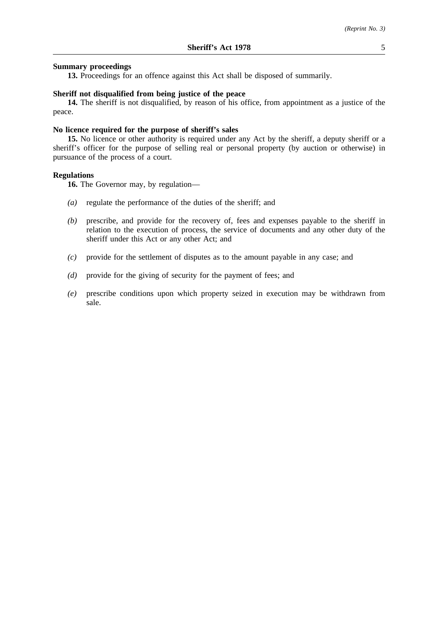# **Summary proceedings**

**13.** Proceedings for an offence against this Act shall be disposed of summarily.

# **Sheriff not disqualified from being justice of the peace**

**14.** The sheriff is not disqualified, by reason of his office, from appointment as a justice of the peace.

### **No licence required for the purpose of sheriff's sales**

**15.** No licence or other authority is required under any Act by the sheriff, a deputy sheriff or a sheriff's officer for the purpose of selling real or personal property (by auction or otherwise) in pursuance of the process of a court.

### **Regulations**

**16.** The Governor may, by regulation—

- *(a)* regulate the performance of the duties of the sheriff; and
- *(b)* prescribe, and provide for the recovery of, fees and expenses payable to the sheriff in relation to the execution of process, the service of documents and any other duty of the sheriff under this Act or any other Act; and
- *(c)* provide for the settlement of disputes as to the amount payable in any case; and
- *(d)* provide for the giving of security for the payment of fees; and
- *(e)* prescribe conditions upon which property seized in execution may be withdrawn from sale.